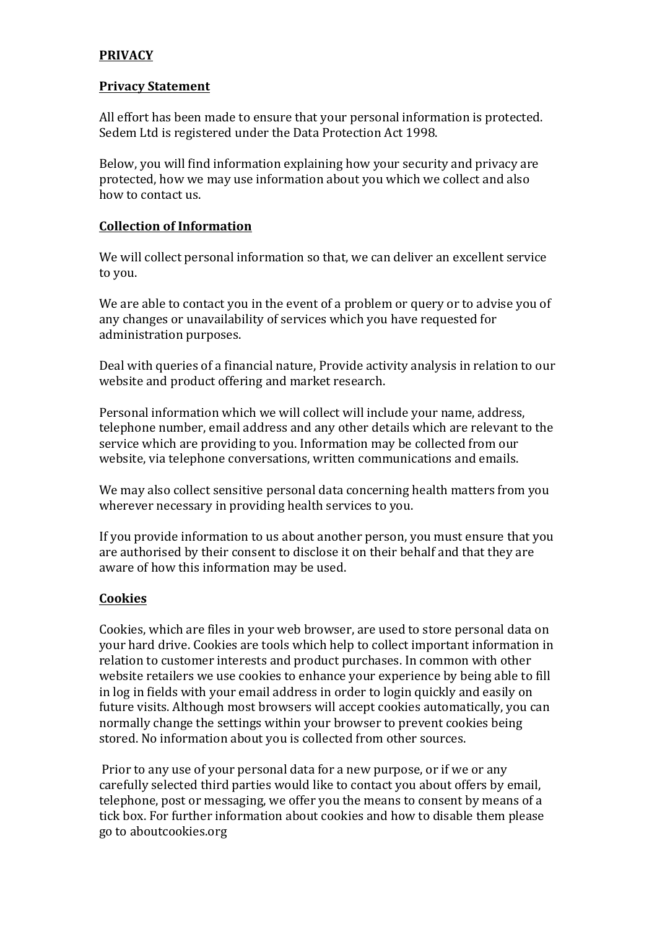# **PRIVACY**

#### **Privacy Statement**

All effort has been made to ensure that your personal information is protected. Sedem Ltd is registered under the Data Protection Act 1998.

Below, you will find information explaining how your security and privacy are protected, how we may use information about you which we collect and also how to contact us.

# **Collection of Information**

We will collect personal information so that, we can deliver an excellent service to you.

We are able to contact you in the event of a problem or query or to advise you of any changes or unavailability of services which you have requested for administration purposes.

Deal with queries of a financial nature, Provide activity analysis in relation to our website and product offering and market research.

Personal information which we will collect will include your name, address, telephone number, email address and any other details which are relevant to the service which are providing to you. Information may be collected from our website, via telephone conversations, written communications and emails.

We may also collect sensitive personal data concerning health matters from you wherever necessary in providing health services to vou.

If you provide information to us about another person, you must ensure that you are authorised by their consent to disclose it on their behalf and that they are aware of how this information may be used.

### **Cookies**

Cookies, which are files in your web browser, are used to store personal data on your hard drive. Cookies are tools which help to collect important information in relation to customer interests and product purchases. In common with other website retailers we use cookies to enhance your experience by being able to fill in log in fields with your email address in order to login quickly and easily on future visits. Although most browsers will accept cookies automatically, you can normally change the settings within your browser to prevent cookies being stored. No information about you is collected from other sources.

Prior to any use of your personal data for a new purpose, or if we or any carefully selected third parties would like to contact you about offers by email, telephone, post or messaging, we offer you the means to consent by means of a tick box. For further information about cookies and how to disable them please go to aboutcookies.org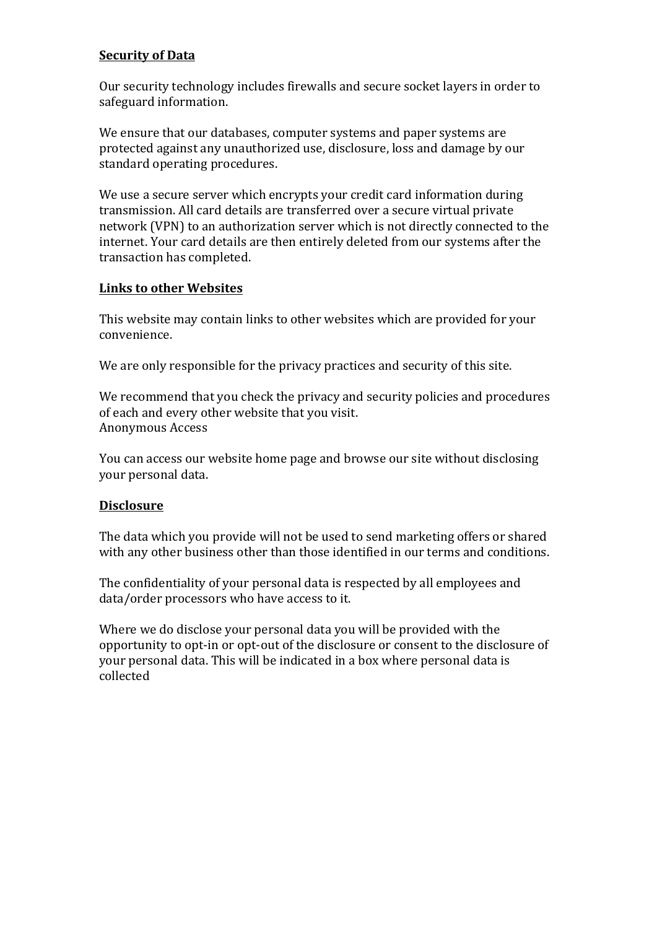## **Security of Data**

Our security technology includes firewalls and secure socket layers in order to safeguard information.

We ensure that our databases, computer systems and paper systems are protected against any unauthorized use, disclosure, loss and damage by our standard operating procedures.

We use a secure server which encrypts your credit card information during transmission. All card details are transferred over a secure virtual private network (VPN) to an authorization server which is not directly connected to the internet. Your card details are then entirely deleted from our systems after the transaction has completed.

# **Links to other Websites**

This website may contain links to other websites which are provided for your convenience.

We are only responsible for the privacy practices and security of this site.

We recommend that you check the privacy and security policies and procedures of each and every other website that you visit. Anonymous Access

You can access our website home page and browse our site without disclosing your personal data.

### **Disclosure**

The data which you provide will not be used to send marketing offers or shared with any other business other than those identified in our terms and conditions.

The confidentiality of your personal data is respected by all employees and data/order processors who have access to it.

Where we do disclose your personal data you will be provided with the opportunity to opt-in or opt-out of the disclosure or consent to the disclosure of your personal data. This will be indicated in a box where personal data is collected